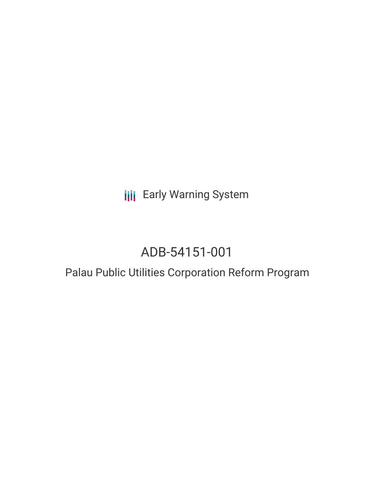**III** Early Warning System

# ADB-54151-001

# Palau Public Utilities Corporation Reform Program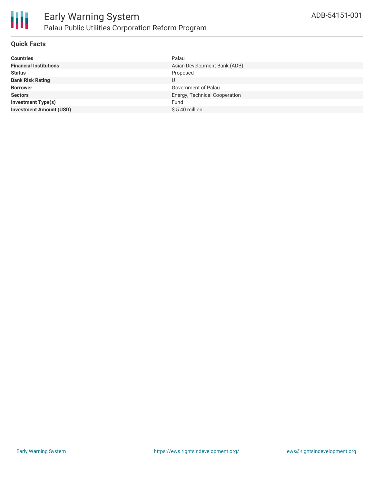

#### **Quick Facts**

| <b>Countries</b>               | Palau                         |
|--------------------------------|-------------------------------|
| <b>Financial Institutions</b>  | Asian Development Bank (ADB)  |
| <b>Status</b>                  | Proposed                      |
| <b>Bank Risk Rating</b>        | U                             |
| <b>Borrower</b>                | Government of Palau           |
| <b>Sectors</b>                 | Energy, Technical Cooperation |
| <b>Investment Type(s)</b>      | Fund                          |
| <b>Investment Amount (USD)</b> | $$5.40$ million               |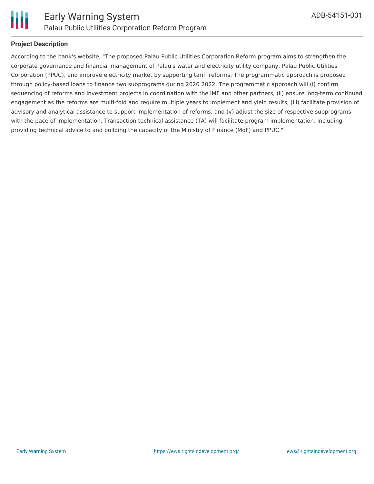

# **Project Description**

According to the bank's website, "The proposed Palau Public Utilities Corporation Reform program aims to strengthen the corporate governance and financial management of Palau's water and electricity utility company, Palau Public Utilities Corporation (PPUC), and improve electricity market by supporting tariff reforms. The programmatic approach is proposed through policy-based loans to finance two subprograms during 2020 2022. The programmatic approach will (i) confirm sequencing of reforms and investment projects in coordination with the IMF and other partners, (ii) ensure long-term continued engagement as the reforms are multi-fold and require multiple years to implement and yield results, (iii) facilitate provision of advisory and analytical assistance to support implementation of reforms, and (v) adjust the size of respective subprograms with the pace of implementation. Transaction technical assistance (TA) will facilitate program implementation, including providing technical advice to and building the capacity of the Ministry of Finance (MoF) and PPUC."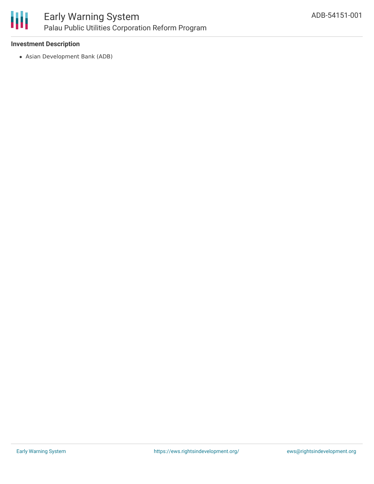

### **Investment Description**

Asian Development Bank (ADB)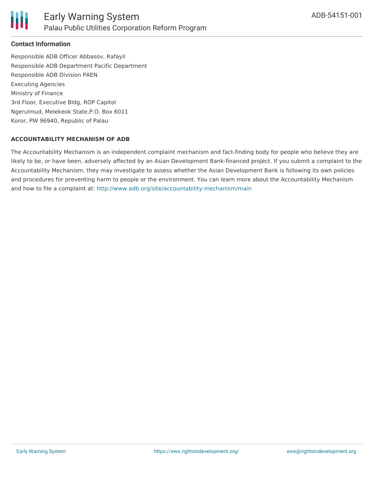

# **Contact Information**

Responsible ADB Officer Abbasov, Rafayil Responsible ADB Department Pacific Department Responsible ADB Division PAEN Executing Agencies Ministry of Finance 3rd Floor, Executive Bldg, ROP Capitol Ngerulmud, Melekeok State,P.O. Box 6011 Koror, PW 96940, Republic of Palau

#### **ACCOUNTABILITY MECHANISM OF ADB**

The Accountability Mechanism is an independent complaint mechanism and fact-finding body for people who believe they are likely to be, or have been, adversely affected by an Asian Development Bank-financed project. If you submit a complaint to the Accountability Mechanism, they may investigate to assess whether the Asian Development Bank is following its own policies and procedures for preventing harm to people or the environment. You can learn more about the Accountability Mechanism and how to file a complaint at: <http://www.adb.org/site/accountability-mechanism/main>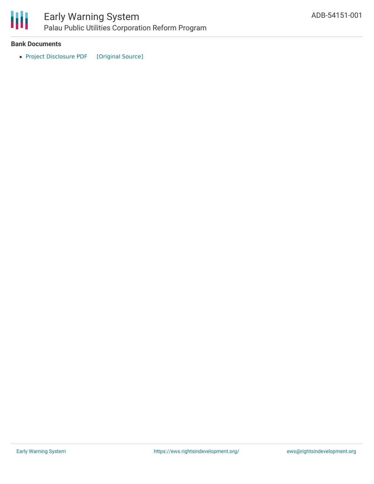

#### **Bank Documents**

• Project [Disclosure](https://ewsdata.rightsindevelopment.org/files/documents/01/ADB-54151-001.pdf) PDF [\[Original](https://www.adb.org/printpdf/projects/54151-001/main) Source]